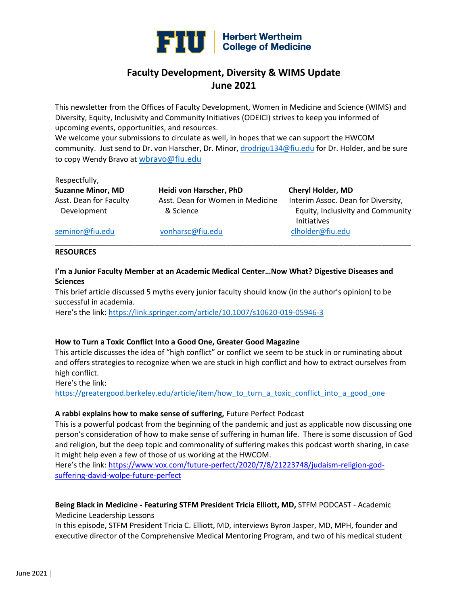

# **Faculty Development, Diversity & WIMS Update June 2021**

This newsletter from the Offices of Faculty Development, Women in Medicine and Science (WIMS) and Diversity, Equity, Inclusivity and Community Initiatives (ODEICI) strives to keep you informed of upcoming events, opportunities, and resources.

We welcome your submissions to circulate as well, in hopes that we can support the HWCOM community. Just send to Dr. von Harscher, Dr. Minor[, drodrigu134@fiu.edu](mailto:drodrigu134@fiu.edu) for Dr. Holder, and be sure to copy Wendy Bravo at [wbravo@fiu.edu](mailto:wbravo@fiu.edu)

#### Respectfully,

**Suzanne Minor, MD Heidi von Harscher, PhD Cheryl Holder, MD** Asst. Dean for Faculty Asst. Dean for Women in Medicine Interim Assoc. Dean for Diversity,

 Development & Science Equity, Inclusivity and Community Initiatives

[seminor@fiu.edu](mailto:seminor@fiu.edu) [vonharsc@fiu.edu](mailto:vonharsc@fiu.edu) [clholder@fiu.edu](mailto:clholder@fiu.edu)

#### **RESOURCES**

### **I'm a Junior Faculty Member at an Academic Medical Center…Now What? Digestive Diseases and Sciences**

\_\_\_\_\_\_\_\_\_\_\_\_\_\_\_\_\_\_\_\_\_\_\_\_\_\_\_\_\_\_\_\_\_\_\_\_\_\_\_\_\_\_\_\_\_\_\_\_\_\_\_\_\_\_\_\_\_\_\_\_\_\_\_\_\_\_\_\_\_\_\_\_\_\_\_\_\_\_\_\_\_\_\_\_\_

This brief article discussed 5 myths every junior faculty should know (in the author's opinion) to be successful in academia.

Here's the link: <https://link.springer.com/article/10.1007/s10620-019-05946-3>

# **How to Turn a Toxic Conflict Into a Good One, Greater Good Magazine**

This article discusses the idea of "high conflict" or conflict we seem to be stuck in or ruminating about and offers strategies to recognize when we are stuck in high conflict and how to extract ourselves from high conflict.

Here's the link:

https://greatergood.berkeley.edu/article/item/how to turn a toxic conflict into a good one

#### **A rabbi explains how to make sense of suffering,** Future Perfect Podcast

This is a powerful podcast from the beginning of the pandemic and just as applicable now discussing one person's consideration of how to make sense of suffering in human life. There is some discussion of God and religion, but the deep topic and commonality of suffering makes this podcast worth sharing, in case it might help even a few of those of us working at the HWCOM.

Here's the link: [https://www.vox.com/future-perfect/2020/7/8/21223748/judaism-religion-god](https://www.vox.com/future-perfect/2020/7/8/21223748/judaism-religion-god-suffering-david-wolpe-future-perfect)[suffering-david-wolpe-future-perfect](https://www.vox.com/future-perfect/2020/7/8/21223748/judaism-religion-god-suffering-david-wolpe-future-perfect)

# **Being Black in Medicine - Featuring STFM President Tricia Elliott, MD,** STFM PODCAST - Academic Medicine Leadership Lessons

In this episode, STFM President Tricia C. Elliott, MD, interviews Byron Jasper, MD, MPH, founder and executive director of the Comprehensive Medical Mentoring Program, and two of his medical student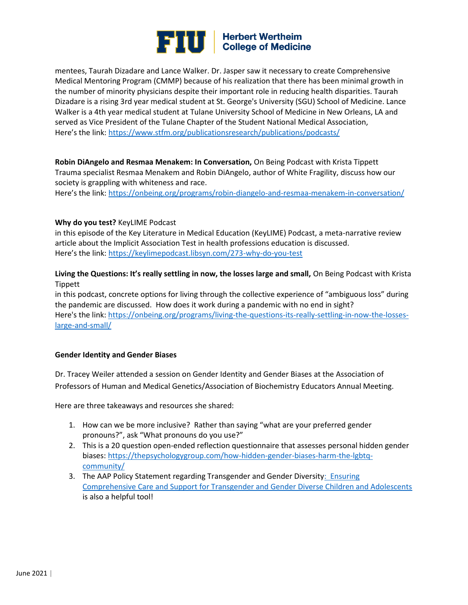

mentees, Taurah Dizadare and Lance Walker. Dr. Jasper saw it necessary to create Comprehensive Medical Mentoring Program (CMMP) because of his realization that there has been minimal growth in the number of minority physicians despite their important role in reducing health disparities. Taurah Dizadare is a rising 3rd year medical student at St. George's University (SGU) School of Medicine. Lance Walker is a 4th year medical student at Tulane University School of Medicine in New Orleans, LA and served as Vice President of the Tulane Chapter of the Student National Medical Association, Here's the link: <https://www.stfm.org/publicationsresearch/publications/podcasts/>

**Robin DiAngelo and Resmaa Menakem: In Conversation,** On Being Podcast with Krista Tippett Trauma specialist Resmaa Menakem and Robin DiAngelo, author of White Fragility, discuss how our society is grappling with whiteness and race.

Here's the link: <https://onbeing.org/programs/robin-diangelo-and-resmaa-menakem-in-conversation/>

#### **Why do you test?** KeyLIME Podcast

in this episode of the Key Literature in Medical Education (KeyLIME) Podcast, a meta-narrative review article about the Implicit Association Test in health professions education is discussed. Here's the link: <https://keylimepodcast.libsyn.com/273-why-do-you-test>

# **Living the Questions: It's really settling in now, the losses large and small,** On Being Podcast with Krista Tippett

in this podcast, concrete options for living through the collective experience of "ambiguous loss" during the pandemic are discussed. How does it work during a pandemic with no end in sight? Here's the link[: https://onbeing.org/programs/living-the-questions-its-really-settling-in-now-the-losses](https://onbeing.org/programs/living-the-questions-its-really-settling-in-now-the-losses-large-and-small/)[large-and-small/](https://onbeing.org/programs/living-the-questions-its-really-settling-in-now-the-losses-large-and-small/)

#### **Gender Identity and Gender Biases**

Dr. Tracey Weiler attended a session on Gender Identity and Gender Biases at the Association of Professors of Human and Medical Genetics/Association of Biochemistry Educators Annual Meeting.

Here are three takeaways and resources she shared:

- 1. How can we be more inclusive? Rather than saying "what are your preferred gender pronouns?", ask "What pronouns do you use?"
- 2. This is a 20 question open-ended reflection questionnaire that assesses personal hidden gender biases: [https://thepsychologygroup.com/how-hidden-gender-biases-harm-the-lgbtq](https://thepsychologygroup.com/how-hidden-gender-biases-harm-the-lgbtq-community/)[community/](https://thepsychologygroup.com/how-hidden-gender-biases-harm-the-lgbtq-community/)
- 3. The AAP Policy Statement regarding Transgender and Gender Diversity: Ensuring [Comprehensive Care and Support for Transgender and Gender Diverse Children and Adolescents](https://pediatrics.aappublications.org/content/pediatrics/142/4/e20182162.full.pdf?eType=EmailBlastContent&eId=02884fcc-3768-4603-82b8-5e4d7fbe34d5) is also a helpful tool!